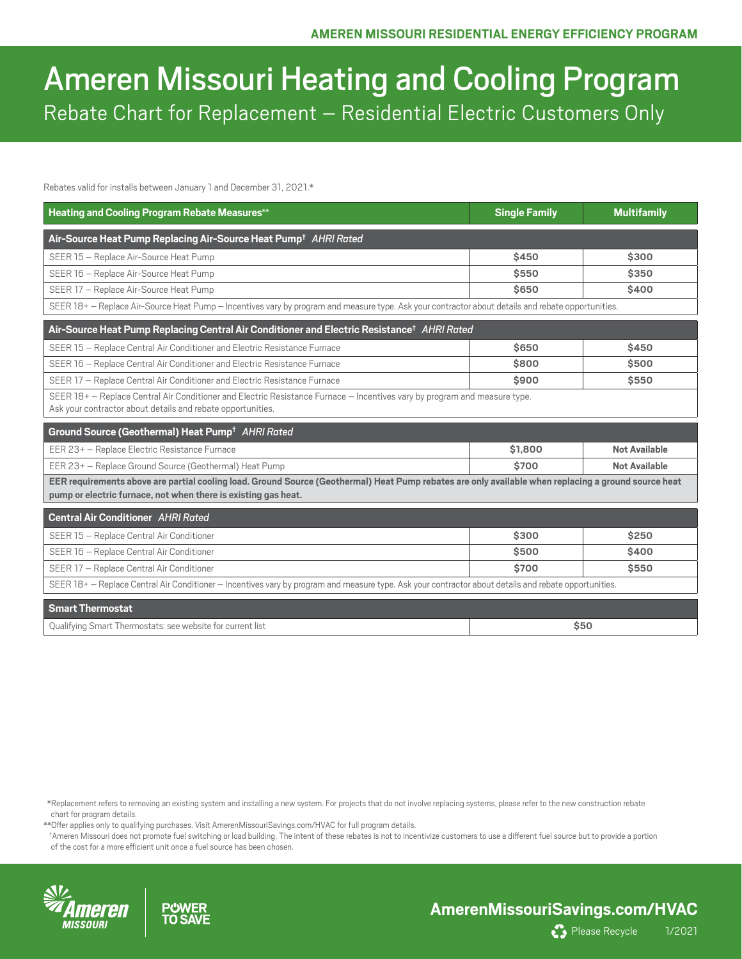# Ameren Missouri Heating and Cooling Program Rebate Chart for Replacement – Residential Electric Customers Only

Rebates valid for installs between January 1 and December 31, 2021.\*

| <b>Heating and Cooling Program Rebate Measures**</b>                                                                                                                                                                   | <b>Single Family</b> | <b>Multifamily</b>   |  |  |
|------------------------------------------------------------------------------------------------------------------------------------------------------------------------------------------------------------------------|----------------------|----------------------|--|--|
| Air-Source Heat Pump Replacing Air-Source Heat Pump <sup>+</sup> AHRI Rated                                                                                                                                            |                      |                      |  |  |
| SEER 15 - Replace Air-Source Heat Pump                                                                                                                                                                                 | \$450                | \$300                |  |  |
| SEER 16 - Replace Air-Source Heat Pump                                                                                                                                                                                 | \$550                | \$350                |  |  |
| SEER 17 - Replace Air-Source Heat Pump                                                                                                                                                                                 | \$650                | \$400                |  |  |
| SEER 18+ - Replace Air-Source Heat Pump - Incentives vary by program and measure type. Ask your contractor about details and rebate opportunities.                                                                     |                      |                      |  |  |
| Air-Source Heat Pump Replacing Central Air Conditioner and Electric Resistance <sup>†</sup> AHRI Rated                                                                                                                 |                      |                      |  |  |
| SEER 15 - Replace Central Air Conditioner and Electric Resistance Furnace                                                                                                                                              | \$650                | \$450                |  |  |
| SEER 16 - Replace Central Air Conditioner and Electric Resistance Furnace                                                                                                                                              | \$800                | \$500                |  |  |
| SEER 17 - Replace Central Air Conditioner and Electric Resistance Furnace                                                                                                                                              | \$900                | \$550                |  |  |
| SEER 18+ - Replace Central Air Conditioner and Electric Resistance Furnace - Incentives vary by program and measure type.<br>Ask your contractor about details and rebate opportunities.                               |                      |                      |  |  |
| Ground Source (Geothermal) Heat Pump <sup>+</sup> AHRI Rated                                                                                                                                                           |                      |                      |  |  |
| EER 23+ - Replace Electric Resistance Furnace                                                                                                                                                                          | \$1,800              | <b>Not Available</b> |  |  |
| EER 23+ - Replace Ground Source (Geothermal) Heat Pump                                                                                                                                                                 | \$700                | <b>Not Available</b> |  |  |
| EER requirements above are partial cooling load. Ground Source (Geothermal) Heat Pump rebates are only available when replacing a ground source heat<br>pump or electric furnace, not when there is existing gas heat. |                      |                      |  |  |
| <b>Central Air Conditioner AHRI Rated</b>                                                                                                                                                                              |                      |                      |  |  |
| SEER 15 - Replace Central Air Conditioner                                                                                                                                                                              | \$300                | \$250                |  |  |
| SEER 16 - Replace Central Air Conditioner                                                                                                                                                                              | \$500                | \$400                |  |  |
| SEER 17 - Replace Central Air Conditioner                                                                                                                                                                              | \$700                | \$550                |  |  |
| SEER 18+ - Replace Central Air Conditioner - Incentives vary by program and measure type. Ask your contractor about details and rebate opportunities.                                                                  |                      |                      |  |  |
| <b>Smart Thermostat</b>                                                                                                                                                                                                |                      |                      |  |  |
| Qualifying Smart Thermostats: see website for current list                                                                                                                                                             | \$50                 |                      |  |  |

 \*Replacement refers to removing an existing system and installing a new system. For projects that do not involve replacing systems, please refer to the new construction rebate chart for program details.

\*\*Offer applies only to qualifying purchases. Visit [AmerenMissouriSavings.com/HVAC](http://AmerenMissouriSavings.com/HVAC) for full program details.

 † Ameren Missouri does not promote fuel switching or load building. The intent of these rebates is not to incentivize customers to use a different fuel source but to provide a portion of the cost for a more efficient unit once a fuel source has been chosen.







Please Recycle 1/2021